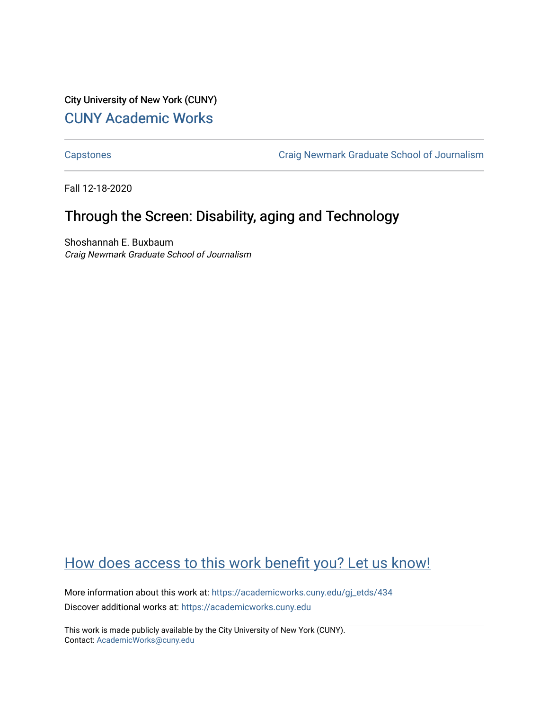City University of New York (CUNY) [CUNY Academic Works](https://academicworks.cuny.edu/) 

[Capstones](https://academicworks.cuny.edu/gj_etds) [Craig Newmark Graduate School of Journalism](https://academicworks.cuny.edu/gj) 

Fall 12-18-2020

# Through the Screen: Disability, aging and Technology

Shoshannah E. Buxbaum Craig Newmark Graduate School of Journalism

# [How does access to this work benefit you? Let us know!](http://ols.cuny.edu/academicworks/?ref=https://academicworks.cuny.edu/gj_etds/434)

More information about this work at: [https://academicworks.cuny.edu/gj\\_etds/434](https://academicworks.cuny.edu/gj_etds/434)  Discover additional works at: [https://academicworks.cuny.edu](https://academicworks.cuny.edu/?)

This work is made publicly available by the City University of New York (CUNY). Contact: [AcademicWorks@cuny.edu](mailto:AcademicWorks@cuny.edu)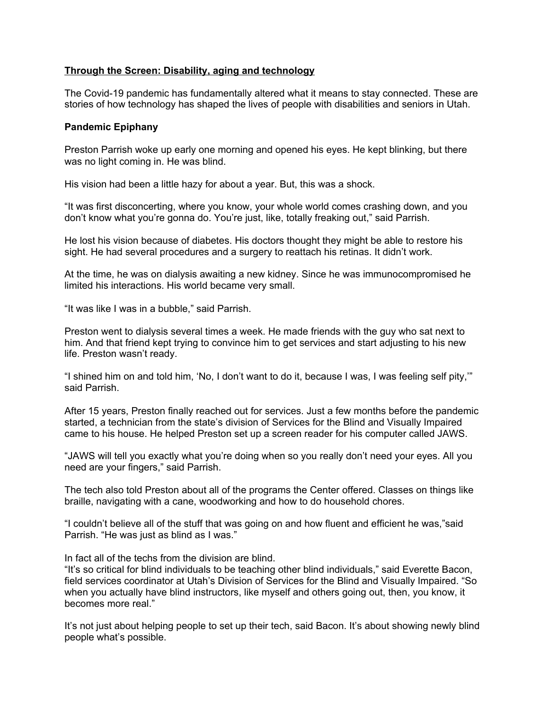# **Through the Screen: Disability, aging and technology**

The Covid-19 pandemic has fundamentally altered what it means to stay connected. These are stories of how technology has shaped the lives of people with disabilities and seniors in Utah.

### **Pandemic Epiphany**

Preston Parrish woke up early one morning and opened his eyes. He kept blinking, but there was no light coming in. He was blind.

His vision had been a little hazy for about a year. But, this was a shock.

"It was first disconcerting, where you know, your whole world comes crashing down, and you don't know what you're gonna do. You're just, like, totally freaking out," said Parrish.

He lost his vision because of diabetes. His doctors thought they might be able to restore his sight. He had several procedures and a surgery to reattach his retinas. It didn't work.

At the time, he was on dialysis awaiting a new kidney. Since he was immunocompromised he limited his interactions. His world became very small.

"It was like I was in a bubble," said Parrish.

Preston went to dialysis several times a week. He made friends with the guy who sat next to him. And that friend kept trying to convince him to get services and start adjusting to his new life. Preston wasn't ready.

"I shined him on and told him, 'No, I don't want to do it, because I was, I was feeling self pity,'" said Parrish.

After 15 years, Preston finally reached out for services. Just a few months before the pandemic started, a technician from the state's division of Services for the Blind and Visually Impaired came to his house. He helped Preston set up a screen reader for his computer called JAWS.

"JAWS will tell you exactly what you're doing when so you really don't need your eyes. All you need are your fingers," said Parrish.

The tech also told Preston about all of the programs the Center offered. Classes on things like braille, navigating with a cane, woodworking and how to do household chores.

"I couldn't believe all of the stuff that was going on and how fluent and efficient he was,"said Parrish. "He was just as blind as I was."

In fact all of the techs from the division are blind.

"It's so critical for blind individuals to be teaching other blind individuals," said Everette Bacon, field services coordinator at Utah's Division of Services for the Blind and Visually Impaired. "So when you actually have blind instructors, like myself and others going out, then, you know, it becomes more real."

It's not just about helping people to set up their tech, said Bacon. It's about showing newly blind people what's possible.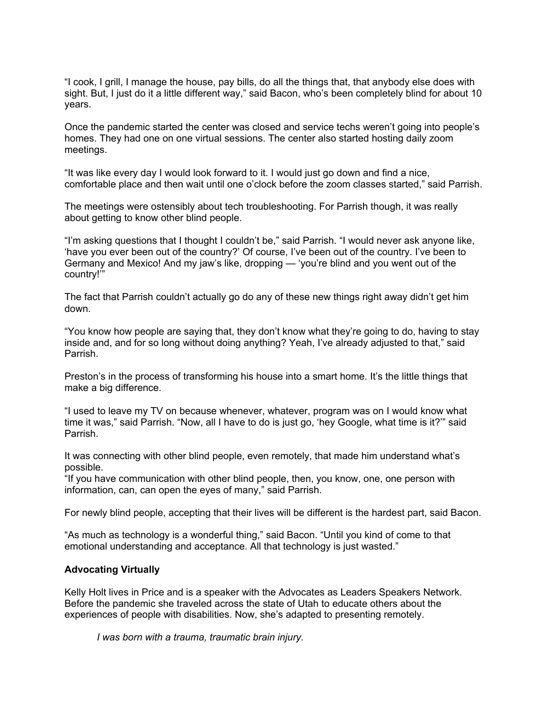"I cook, I grill, I manage the house, pay bills, do all the things that, that anybody else does with sight. But, I just do it a little different way," said Bacon, who's been completely blind for about 10 years.

Once the pandemic started the center was closed and service techs weren't going into people's homes. They had one on one virtual sessions. The center also started hosting daily zoom meetings.

"It was like every day I would look forward to it. I would just go down and find a nice, comfortable place and then wait until one o'clock before the zoom classes started," said Parrish.

The meetings were ostensibly about tech troubleshooting. For Parrish though, it was really about getting to know other blind people.

"I'm asking questions that I thought I couldn't be," said Parrish. "I would never ask anyone like, 'have you ever been out of the country?' Of course, I've been out of the country. I've been to Germany and Mexico! And my jaw's like, dropping — 'you're blind and you went out of the country!'"

The fact that Parrish couldn't actually go do any of these new things right away didn't get him down.

"You know how people are saying that, they don't know what they're going to do, having to stay inside and, and for so long without doing anything? Yeah, I've already adjusted to that," said Parrish.

Preston's in the process of transforming his house into a smart home. It's the little things that make a big difference.

"I used to leave my TV on because whenever, whatever, program was on I would know what time it was," said Parrish. "Now, all I have to do is just go, 'hey Google, what time is it?'" said Parrish.

It was connecting with other blind people, even remotely, that made him understand what's possible.

"If you have communication with other blind people, then, you know, one, one person with information, can, can open the eyes of many," said Parrish.

For newly blind people, accepting that their lives will be different is the hardest part, said Bacon.

"As much as technology is a wonderful thing," said Bacon. "Until you kind of come to that emotional understanding and acceptance. All that technology is just wasted."

### **Advocating Virtually**

Kelly Holt lives in Price and is a speaker with the Advocates as Leaders Speakers Network. Before the pandemic she traveled across the state of Utah to educate others about the experiences of people with disabilities. Now, she's adapted to presenting remotely.

*I was born with a trauma, traumatic brain injury.*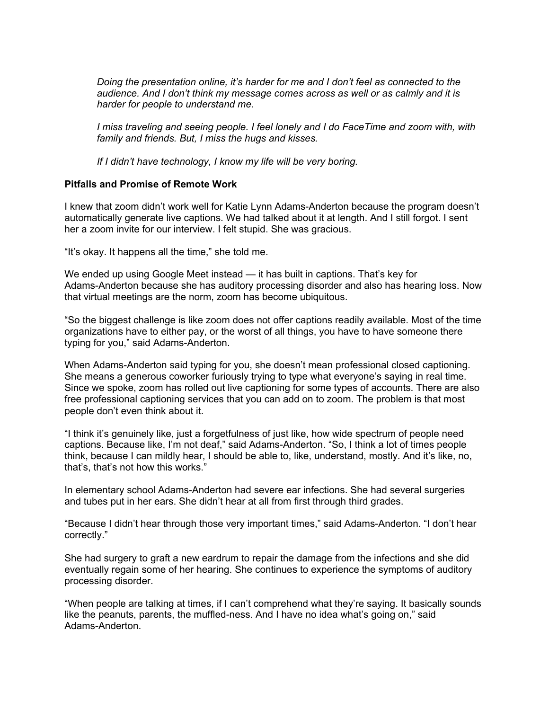*Doing the presentation online, it's harder for me and I don't feel as connected to the audience. And I don't think my message comes across as well or as calmly and it is harder for people to understand me.*

*I miss traveling and seeing people. I feel lonely and I do FaceTime and zoom with, with family and friends. But, I miss the hugs and kisses.*

*If I didn't have technology, I know my life will be very boring.*

### **Pitfalls and Promise of Remote Work**

I knew that zoom didn't work well for Katie Lynn Adams-Anderton because the program doesn't automatically generate live captions. We had talked about it at length. And I still forgot. I sent her a zoom invite for our interview. I felt stupid. She was gracious.

"It's okay. It happens all the time," she told me.

We ended up using Google Meet instead — it has built in captions. That's key for Adams-Anderton because she has auditory processing disorder and also has hearing loss. Now that virtual meetings are the norm, zoom has become ubiquitous.

"So the biggest challenge is like zoom does not offer captions readily available. Most of the time organizations have to either pay, or the worst of all things, you have to have someone there typing for you," said Adams-Anderton.

When Adams-Anderton said typing for you, she doesn't mean professional closed captioning. She means a generous coworker furiously trying to type what everyone's saying in real time. Since we spoke, zoom has rolled out live captioning for some types of accounts. There are also free professional captioning services that you can add on to zoom. The problem is that most people don't even think about it.

"I think it's genuinely like, just a forgetfulness of just like, how wide spectrum of people need captions. Because like, I'm not deaf," said Adams-Anderton. "So, I think a lot of times people think, because I can mildly hear, I should be able to, like, understand, mostly. And it's like, no, that's, that's not how this works."

In elementary school Adams-Anderton had severe ear infections. She had several surgeries and tubes put in her ears. She didn't hear at all from first through third grades.

"Because I didn't hear through those very important times," said Adams-Anderton. "I don't hear correctly."

She had surgery to graft a new eardrum to repair the damage from the infections and she did eventually regain some of her hearing. She continues to experience the symptoms of auditory processing disorder.

"When people are talking at times, if I can't comprehend what they're saying. It basically sounds like the peanuts, parents, the muffled-ness. And I have no idea what's going on," said Adams-Anderton.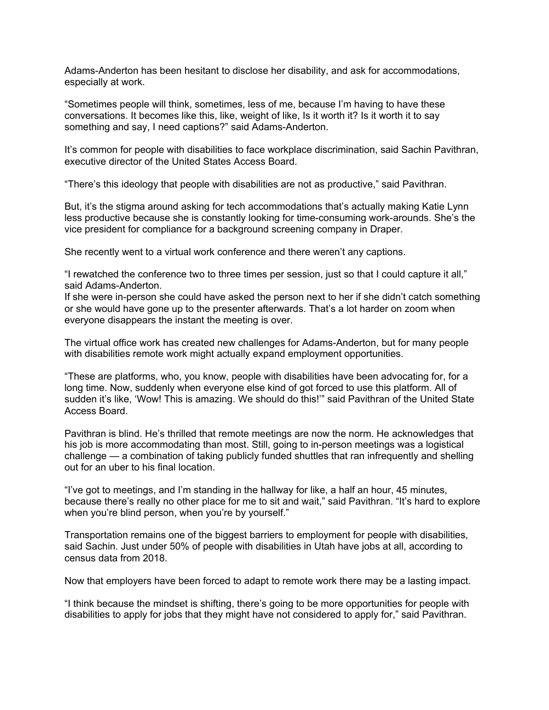Adams-Anderton has been hesitant to disclose her disability, and ask for accommodations, especially at work.

"Sometimes people will think, sometimes, less of me, because I'm having to have these conversations. It becomes like this, like, weight of like, Is it worth it? Is it worth it to say something and say, I need captions?" said Adams-Anderton.

It's common for people with disabilities to face workplace discrimination, said Sachin Pavithran, executive director of the United States Access Board.

"There's this ideology that people with disabilities are not as productive," said Pavithran.

But, it's the stigma around asking for tech accommodations that's actually making Katie Lynn less productive because she is constantly looking for time-consuming work-arounds. She's the vice president for compliance for a background screening company in Draper.

She recently went to a virtual work conference and there weren't any captions.

"I rewatched the conference two to three times per session, just so that I could capture it all," said Adams-Anderton.

If she were in-person she could have asked the person next to her if she didn't catch something or she would have gone up to the presenter afterwards. That's a lot harder on zoom when everyone disappears the instant the meeting is over.

The virtual office work has created new challenges for Adams-Anderton, but for many people with disabilities remote work might actually expand employment opportunities.

"These are platforms, who, you know, people with disabilities have been advocating for, for a long time. Now, suddenly when everyone else kind of got forced to use this platform. All of sudden it's like, 'Wow! This is amazing. We should do this!'" said Pavithran of the United State Access Board.

Pavithran is blind. He's thrilled that remote meetings are now the norm. He acknowledges that his job is more accommodating than most. Still, going to in-person meetings was a logistical challenge — a combination of taking publicly funded shuttles that ran infrequently and shelling out for an uber to his final location.

"I've got to meetings, and I'm standing in the hallway for like, a half an hour, 45 minutes, because there's really no other place for me to sit and wait," said Pavithran. "It's hard to explore when you're blind person, when you're by yourself."

Transportation remains one of the biggest barriers to employment for people with disabilities, said Sachin. Just under 50% of people with disabilities in Utah have jobs at all, according to census data from 2018.

Now that employers have been forced to adapt to remote work there may be a lasting impact.

"I think because the mindset is shifting, there's going to be more opportunities for people with disabilities to apply for jobs that they might have not considered to apply for," said Pavithran.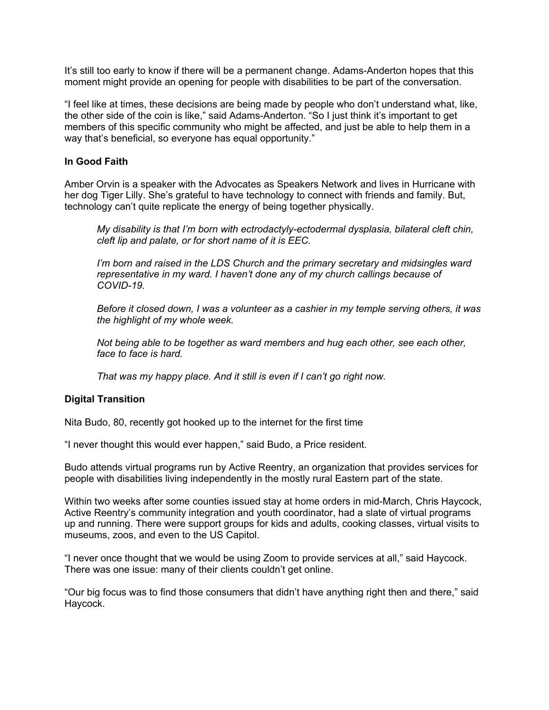It's still too early to know if there will be a permanent change. Adams-Anderton hopes that this moment might provide an opening for people with disabilities to be part of the conversation.

"I feel like at times, these decisions are being made by people who don't understand what, like, the other side of the coin is like," said Adams-Anderton. "So I just think it's important to get members of this specific community who might be affected, and just be able to help them in a way that's beneficial, so everyone has equal opportunity."

# **In Good Faith**

Amber Orvin is a speaker with the Advocates as Speakers Network and lives in Hurricane with her dog Tiger Lilly. She's grateful to have technology to connect with friends and family. But, technology can't quite replicate the energy of being together physically.

*My disability is that I'm born with ectrodactyly-ectodermal dysplasia, bilateral cleft chin, cleft lip and palate, or for short name of it is EEC.*

*I'm born and raised in the LDS Church and the primary secretary and midsingles ward representative in my ward. I haven't done any of my church callings because of COVID-19.*

*Before it closed down, I was a volunteer as a cashier in my temple serving others, it was the highlight of my whole week.*

*Not being able to be together as ward members and hug each other, see each other, face to face is hard.*

*That was my happy place. And it still is even if I can't go right now.*

### **Digital Transition**

Nita Budo, 80, recently got hooked up to the internet for the first time

"I never thought this would ever happen," said Budo, a Price resident.

Budo attends virtual programs run by Active Reentry, an organization that provides services for people with disabilities living independently in the mostly rural Eastern part of the state.

Within two weeks after some counties issued stay at home orders in mid-March, Chris Haycock, Active Reentry's community integration and youth coordinator, had a slate of virtual programs up and running. There were support groups for kids and adults, cooking classes, virtual visits to museums, zoos, and even to the US Capitol.

"I never once thought that we would be using Zoom to provide services at all," said Haycock. There was one issue: many of their clients couldn't get online.

"Our big focus was to find those consumers that didn't have anything right then and there," said Haycock.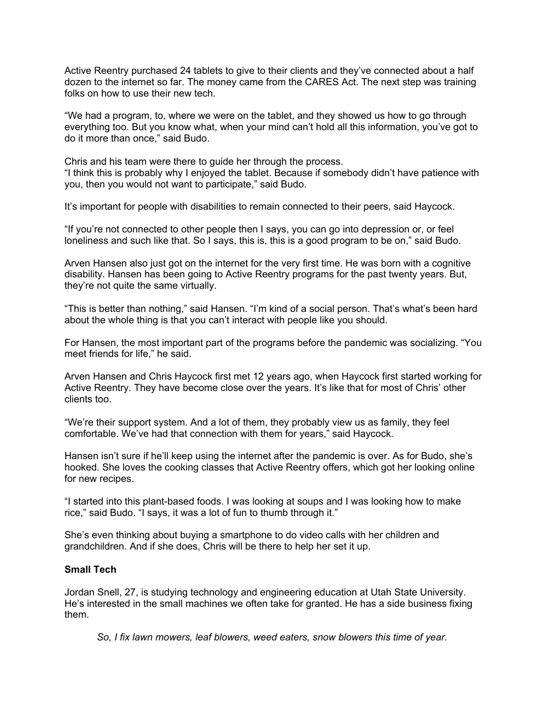Active Reentry purchased 24 tablets to give to their clients and they've connected about a half dozen to the internet so far. The money came from the CARES Act. The next step was training folks on how to use their new tech.

"We had a program, to, where we were on the tablet, and they showed us how to go through everything too. But you know what, when your mind can't hold all this information, you've got to do it more than once," said Budo.

Chris and his team were there to guide her through the process. "I think this is probably why I enjoyed the tablet. Because if somebody didn't have patience with you, then you would not want to participate," said Budo.

It's important for people with disabilities to remain connected to their peers, said Haycock.

"If you're not connected to other people then I says, you can go into depression or, or feel loneliness and such like that. So I says, this is, this is a good program to be on," said Budo.

Arven Hansen also just got on the internet for the very first time. He was born with a cognitive disability. Hansen has been going to Active Reentry programs for the past twenty years. But, they're not quite the same virtually.

"This is better than nothing," said Hansen. "I'm kind of a social person. That's what's been hard about the whole thing is that you can't interact with people like you should.

For Hansen, the most important part of the programs before the pandemic was socializing. "You meet friends for life," he said.

Arven Hansen and Chris Haycock first met 12 years ago, when Haycock first started working for Active Reentry. They have become close over the years. It's like that for most of Chris' other clients too.

"We're their support system. And a lot of them, they probably view us as family, they feel comfortable. We've had that connection with them for years," said Haycock.

Hansen isn't sure if he'll keep using the internet after the pandemic is over. As for Budo, she's hooked. She loves the cooking classes that Active Reentry offers, which got her looking online for new recipes.

"I started into this plant-based foods. I was looking at soups and I was looking how to make rice," said Budo. "I says, it was a lot of fun to thumb through it."

She's even thinking about buying a smartphone to do video calls with her children and grandchildren. And if she does, Chris will be there to help her set it up.

## **Small Tech**

Jordan Snell, 27, is studying technology and engineering education at Utah State University. He's interested in the small machines we often take for granted. He has a side business fixing them.

*So, I fix lawn mowers, leaf blowers, weed eaters, snow blowers this time of year.*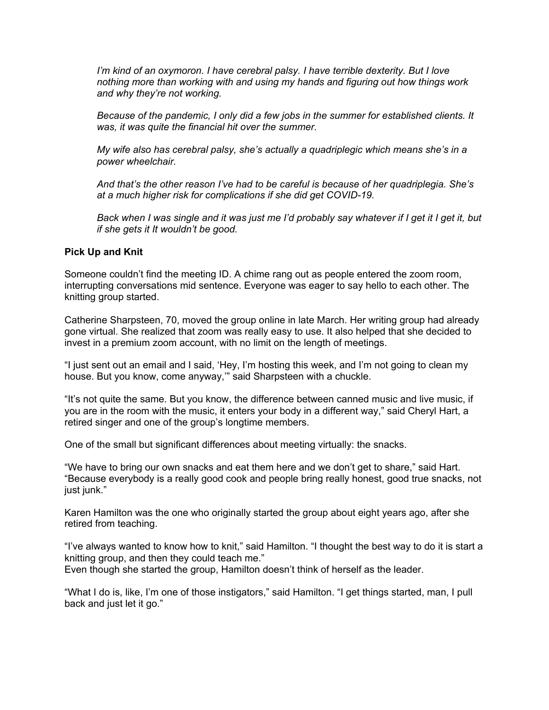*I'm kind of an oxymoron. I have cerebral palsy. I have terrible dexterity. But I love nothing more than working with and using my hands and figuring out how things work and why they're not working.*

*Because of the pandemic, I only did a few jobs in the summer for established clients. It was, it was quite the financial hit over the summer.*

*My wife also has cerebral palsy, she's actually a quadriplegic which means she's in a power wheelchair.*

*And that's the other reason I've had to be careful is because of her quadriplegia. She's at a much higher risk for complications if she did get COVID-19.*

Back when I was single and it was just me I'd probably say whatever if I get it I get it, but *if she gets it It wouldn't be good.*

#### **Pick Up and Knit**

Someone couldn't find the meeting ID. A chime rang out as people entered the zoom room, interrupting conversations mid sentence. Everyone was eager to say hello to each other. The knitting group started.

Catherine Sharpsteen, 70, moved the group online in late March. Her writing group had already gone virtual. She realized that zoom was really easy to use. It also helped that she decided to invest in a premium zoom account, with no limit on the length of meetings.

"I just sent out an email and I said, 'Hey, I'm hosting this week, and I'm not going to clean my house. But you know, come anyway,'" said Sharpsteen with a chuckle.

"It's not quite the same. But you know, the difference between canned music and live music, if you are in the room with the music, it enters your body in a different way," said Cheryl Hart, a retired singer and one of the group's longtime members.

One of the small but significant differences about meeting virtually: the snacks.

"We have to bring our own snacks and eat them here and we don't get to share," said Hart. "Because everybody is a really good cook and people bring really honest, good true snacks, not just junk."

Karen Hamilton was the one who originally started the group about eight years ago, after she retired from teaching.

"I've always wanted to know how to knit," said Hamilton. "I thought the best way to do it is start a knitting group, and then they could teach me." Even though she started the group, Hamilton doesn't think of herself as the leader.

"What I do is, like, I'm one of those instigators," said Hamilton. "I get things started, man, I pull back and just let it go."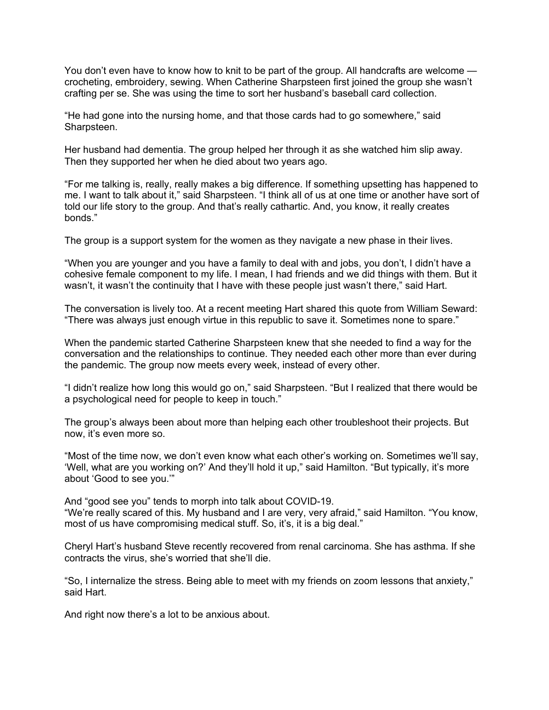You don't even have to know how to knit to be part of the group. All handcrafts are welcome crocheting, embroidery, sewing. When Catherine Sharpsteen first joined the group she wasn't crafting per se. She was using the time to sort her husband's baseball card collection.

"He had gone into the nursing home, and that those cards had to go somewhere," said Sharpsteen.

Her husband had dementia. The group helped her through it as she watched him slip away. Then they supported her when he died about two years ago.

"For me talking is, really, really makes a big difference. If something upsetting has happened to me. I want to talk about it," said Sharpsteen. "I think all of us at one time or another have sort of told our life story to the group. And that's really cathartic. And, you know, it really creates bonds."

The group is a support system for the women as they navigate a new phase in their lives.

"When you are younger and you have a family to deal with and jobs, you don't, I didn't have a cohesive female component to my life. I mean, I had friends and we did things with them. But it wasn't, it wasn't the continuity that I have with these people just wasn't there," said Hart.

The conversation is lively too. At a recent meeting Hart shared this quote from William Seward: "There was always just enough virtue in this republic to save it. Sometimes none to spare."

When the pandemic started Catherine Sharpsteen knew that she needed to find a way for the conversation and the relationships to continue. They needed each other more than ever during the pandemic. The group now meets every week, instead of every other.

"I didn't realize how long this would go on," said Sharpsteen. "But I realized that there would be a psychological need for people to keep in touch."

The group's always been about more than helping each other troubleshoot their projects. But now, it's even more so.

"Most of the time now, we don't even know what each other's working on. Sometimes we'll say, 'Well, what are you working on?' And they'll hold it up," said Hamilton. "But typically, it's more about 'Good to see you.'"

And "good see you" tends to morph into talk about COVID-19. "We're really scared of this. My husband and I are very, very afraid," said Hamilton. "You know, most of us have compromising medical stuff. So, it's, it is a big deal."

Cheryl Hart's husband Steve recently recovered from renal carcinoma. She has asthma. If she contracts the virus, she's worried that she'll die.

"So, I internalize the stress. Being able to meet with my friends on zoom lessons that anxiety," said Hart.

And right now there's a lot to be anxious about.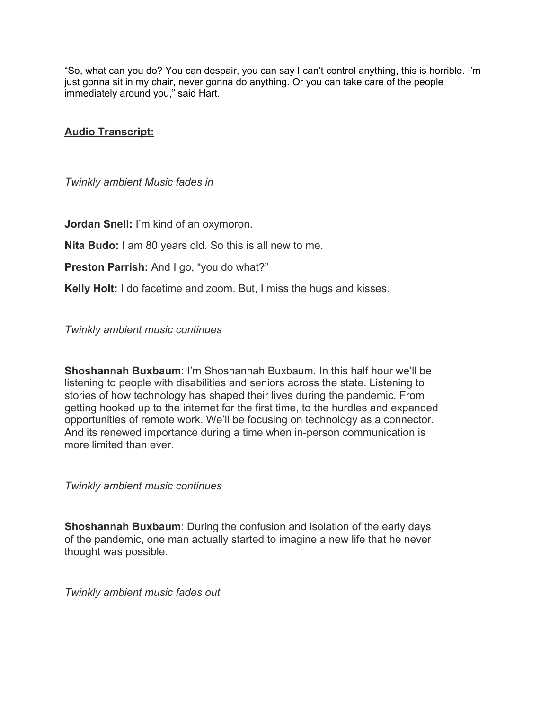"So, what can you do? You can despair, you can say I can't control anything, this is horrible. I'm just gonna sit in my chair, never gonna do anything. Or you can take care of the people immediately around you," said Hart.

# **Audio Transcript:**

*Twinkly ambient Music fades in*

**Jordan Snell:** I'm kind of an oxymoron.

**Nita Budo:** I am 80 years old. So this is all new to me.

**Preston Parrish:** And I go, "you do what?"

**Kelly Holt:** I do facetime and zoom. But, I miss the hugs and kisses.

*Twinkly ambient music continues*

**Shoshannah Buxbaum**: I'm Shoshannah Buxbaum. In this half hour we'll be listening to people with disabilities and seniors across the state. Listening to stories of how technology has shaped their lives during the pandemic. From getting hooked up to the internet for the first time, to the hurdles and expanded opportunities of remote work. We'll be focusing on technology as a connector. And its renewed importance during a time when in-person communication is more limited than ever.

*Twinkly ambient music continues*

**Shoshannah Buxbaum**: During the confusion and isolation of the early days of the pandemic, one man actually started to imagine a new life that he never thought was possible.

*Twinkly ambient music fades out*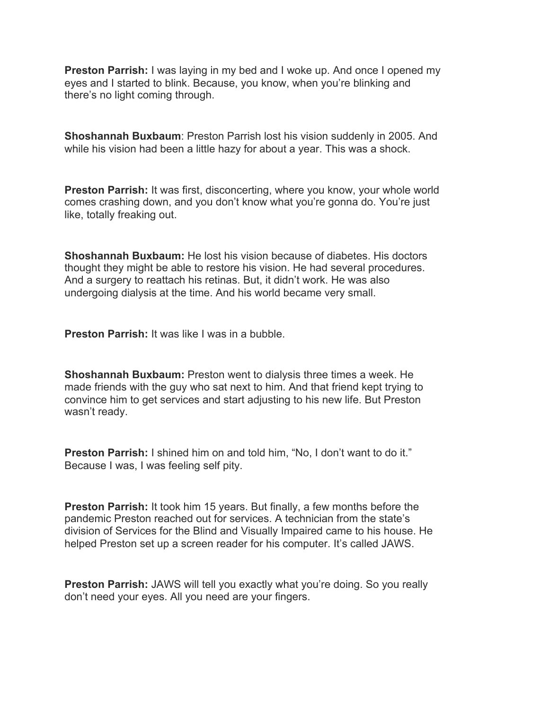**Preston Parrish:** I was laying in my bed and I woke up. And once I opened my eyes and I started to blink. Because, you know, when you're blinking and there's no light coming through.

**Shoshannah Buxbaum**: Preston Parrish lost his vision suddenly in 2005. And while his vision had been a little hazy for about a year. This was a shock.

**Preston Parrish:** It was first, disconcerting, where you know, your whole world comes crashing down, and you don't know what you're gonna do. You're just like, totally freaking out.

**Shoshannah Buxbaum:** He lost his vision because of diabetes. His doctors thought they might be able to restore his vision. He had several procedures. And a surgery to reattach his retinas. But, it didn't work. He was also undergoing dialysis at the time. And his world became very small.

**Preston Parrish:** It was like I was in a bubble.

**Shoshannah Buxbaum:** Preston went to dialysis three times a week. He made friends with the guy who sat next to him. And that friend kept trying to convince him to get services and start adjusting to his new life. But Preston wasn't ready.

**Preston Parrish:** I shined him on and told him, "No, I don't want to do it." Because I was, I was feeling self pity.

**Preston Parrish:** It took him 15 years. But finally, a few months before the pandemic Preston reached out for services. A technician from the state's division of Services for the Blind and Visually Impaired came to his house. He helped Preston set up a screen reader for his computer. It's called JAWS.

**Preston Parrish:** JAWS will tell you exactly what you're doing. So you really don't need your eyes. All you need are your fingers.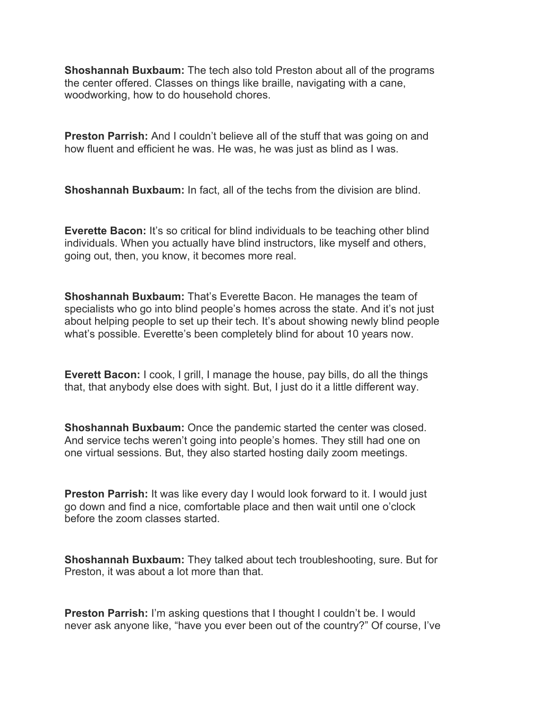**Shoshannah Buxbaum:** The tech also told Preston about all of the programs the center offered. Classes on things like braille, navigating with a cane, woodworking, how to do household chores.

**Preston Parrish:** And I couldn't believe all of the stuff that was going on and how fluent and efficient he was. He was, he was just as blind as I was.

**Shoshannah Buxbaum:** In fact, all of the techs from the division are blind.

**Everette Bacon:** It's so critical for blind individuals to be teaching other blind individuals. When you actually have blind instructors, like myself and others, going out, then, you know, it becomes more real.

**Shoshannah Buxbaum:** That's Everette Bacon. He manages the team of specialists who go into blind people's homes across the state. And it's not just about helping people to set up their tech. It's about showing newly blind people what's possible. Everette's been completely blind for about 10 years now.

**Everett Bacon:** I cook, I grill, I manage the house, pay bills, do all the things that, that anybody else does with sight. But, I just do it a little different way.

**Shoshannah Buxbaum:** Once the pandemic started the center was closed. And service techs weren't going into people's homes. They still had one on one virtual sessions. But, they also started hosting daily zoom meetings.

**Preston Parrish:** It was like every day I would look forward to it. I would just go down and find a nice, comfortable place and then wait until one o'clock before the zoom classes started.

**Shoshannah Buxbaum:** They talked about tech troubleshooting, sure. But for Preston, it was about a lot more than that.

**Preston Parrish:** I'm asking questions that I thought I couldn't be. I would never ask anyone like, "have you ever been out of the country?" Of course, I've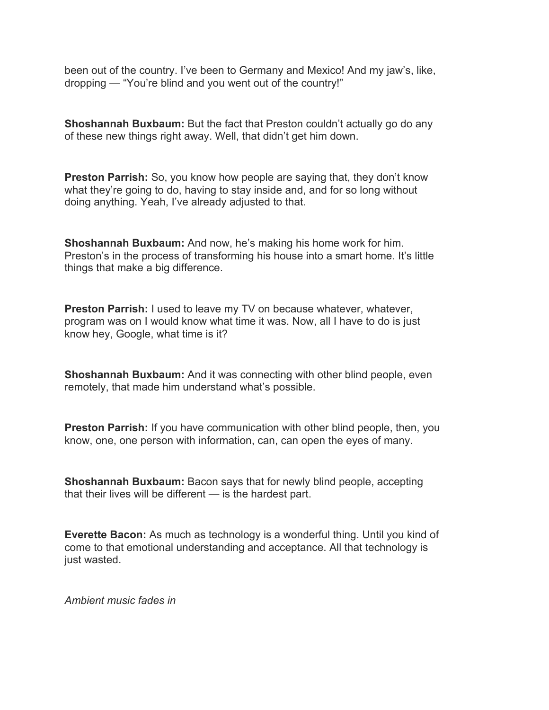been out of the country. I've been to Germany and Mexico! And my jaw's, like, dropping — "You're blind and you went out of the country!"

**Shoshannah Buxbaum:** But the fact that Preston couldn't actually go do any of these new things right away. Well, that didn't get him down.

**Preston Parrish:** So, you know how people are saying that, they don't know what they're going to do, having to stay inside and, and for so long without doing anything. Yeah, I've already adjusted to that.

**Shoshannah Buxbaum:** And now, he's making his home work for him. Preston's in the process of transforming his house into a smart home. It's little things that make a big difference.

**Preston Parrish:** I used to leave my TV on because whatever, whatever, program was on I would know what time it was. Now, all I have to do is just know hey, Google, what time is it?

**Shoshannah Buxbaum:** And it was connecting with other blind people, even remotely, that made him understand what's possible.

**Preston Parrish:** If you have communication with other blind people, then, you know, one, one person with information, can, can open the eyes of many.

**Shoshannah Buxbaum:** Bacon says that for newly blind people, accepting that their lives will be different — is the hardest part.

**Everette Bacon:** As much as technology is a wonderful thing. Until you kind of come to that emotional understanding and acceptance. All that technology is just wasted.

*Ambient music fades in*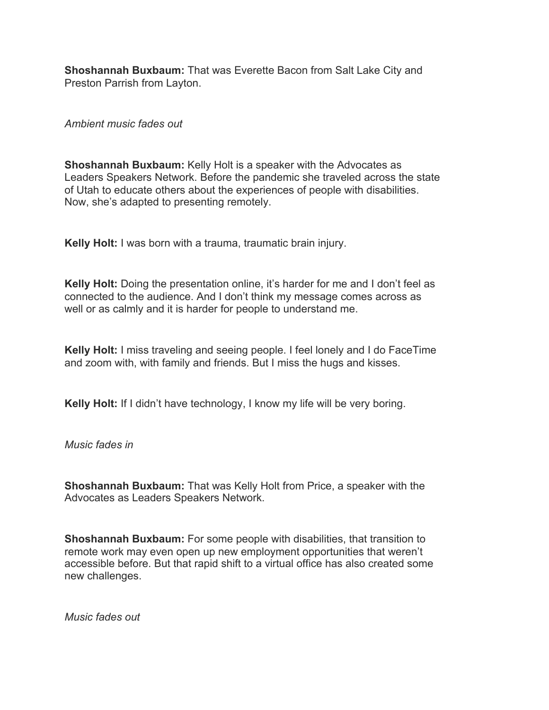**Shoshannah Buxbaum:** That was Everette Bacon from Salt Lake City and Preston Parrish from Layton.

*Ambient music fades out*

**Shoshannah Buxbaum:** Kelly Holt is a speaker with the Advocates as Leaders Speakers Network. Before the pandemic she traveled across the state of Utah to educate others about the experiences of people with disabilities. Now, she's adapted to presenting remotely.

**Kelly Holt:** I was born with a trauma, traumatic brain injury.

**Kelly Holt:** Doing the presentation online, it's harder for me and I don't feel as connected to the audience. And I don't think my message comes across as well or as calmly and it is harder for people to understand me.

**Kelly Holt:** I miss traveling and seeing people. I feel lonely and I do FaceTime and zoom with, with family and friends. But I miss the hugs and kisses.

**Kelly Holt:** If I didn't have technology, I know my life will be very boring.

*Music fades in*

**Shoshannah Buxbaum:** That was Kelly Holt from Price, a speaker with the Advocates as Leaders Speakers Network.

**Shoshannah Buxbaum:** For some people with disabilities, that transition to remote work may even open up new employment opportunities that weren't accessible before. But that rapid shift to a virtual office has also created some new challenges.

*Music fades out*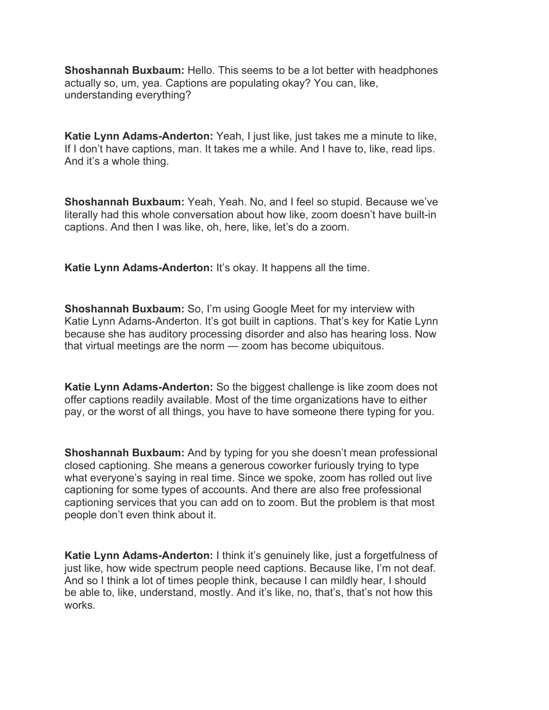**Shoshannah Buxbaum:** Hello. This seems to be a lot better with headphones actually so, um, yea. Captions are populating okay? You can, like, understanding everything?

**Katie Lynn Adams-Anderton:** Yeah, I just like, just takes me a minute to like, If I don't have captions, man. It takes me a while. And I have to, like, read lips. And it's a whole thing.

**Shoshannah Buxbaum:** Yeah, Yeah. No, and I feel so stupid. Because we've literally had this whole conversation about how like, zoom doesn't have built-in captions. And then I was like, oh, here, like, let's do a zoom.

**Katie Lynn Adams-Anderton:** It's okay. It happens all the time.

**Shoshannah Buxbaum:** So, I'm using Google Meet for my interview with Katie Lynn Adams-Anderton. It's got built in captions. That's key for Katie Lynn because she has auditory processing disorder and also has hearing loss. Now that virtual meetings are the norm — zoom has become ubiquitous.

**Katie Lynn Adams-Anderton:** So the biggest challenge is like zoom does not offer captions readily available. Most of the time organizations have to either pay, or the worst of all things, you have to have someone there typing for you.

**Shoshannah Buxbaum:** And by typing for you she doesn't mean professional closed captioning. She means a generous coworker furiously trying to type what everyone's saying in real time. Since we spoke, zoom has rolled out live captioning for some types of accounts. And there are also free professional captioning services that you can add on to zoom. But the problem is that most people don't even think about it.

**Katie Lynn Adams-Anderton:** I think it's genuinely like, just a forgetfulness of just like, how wide spectrum people need captions. Because like, I'm not deaf. And so I think a lot of times people think, because I can mildly hear, I should be able to, like, understand, mostly. And it's like, no, that's, that's not how this works.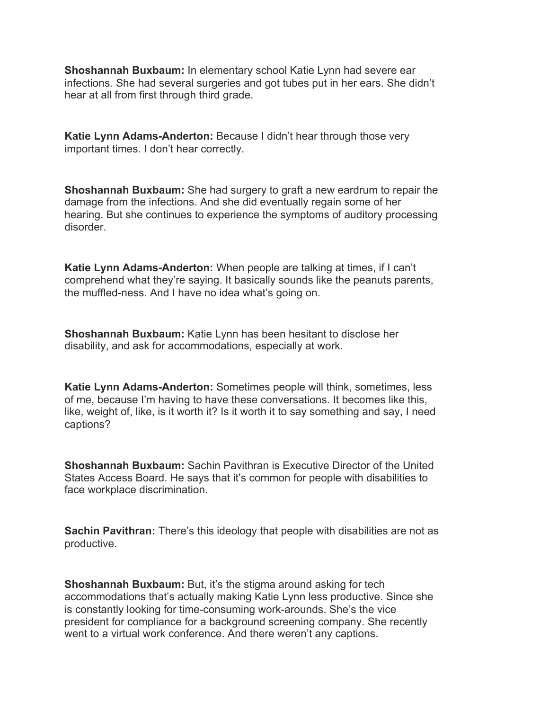**Shoshannah Buxbaum:** In elementary school Katie Lynn had severe ear infections. She had several surgeries and got tubes put in her ears. She didn't hear at all from first through third grade.

**Katie Lynn Adams-Anderton:** Because I didn't hear through those very important times. I don't hear correctly.

**Shoshannah Buxbaum:** She had surgery to graft a new eardrum to repair the damage from the infections. And she did eventually regain some of her hearing. But she continues to experience the symptoms of auditory processing disorder.

**Katie Lynn Adams-Anderton:** When people are talking at times, if I can't comprehend what they're saying. It basically sounds like the peanuts parents, the muffled-ness. And I have no idea what's going on.

**Shoshannah Buxbaum:** Katie Lynn has been hesitant to disclose her disability, and ask for accommodations, especially at work.

**Katie Lynn Adams-Anderton:** Sometimes people will think, sometimes, less of me, because I'm having to have these conversations. It becomes like this, like, weight of, like, is it worth it? Is it worth it to say something and say, I need captions?

**Shoshannah Buxbaum:** Sachin Pavithran is Executive Director of the United States Access Board. He says that it's common for people with disabilities to face workplace discrimination.

**Sachin Pavithran:** There's this ideology that people with disabilities are not as productive.

**Shoshannah Buxbaum:** But, it's the stigma around asking for tech accommodations that's actually making Katie Lynn less productive. Since she is constantly looking for time-consuming work-arounds. She's the vice president for compliance for a background screening company. She recently went to a virtual work conference. And there weren't any captions.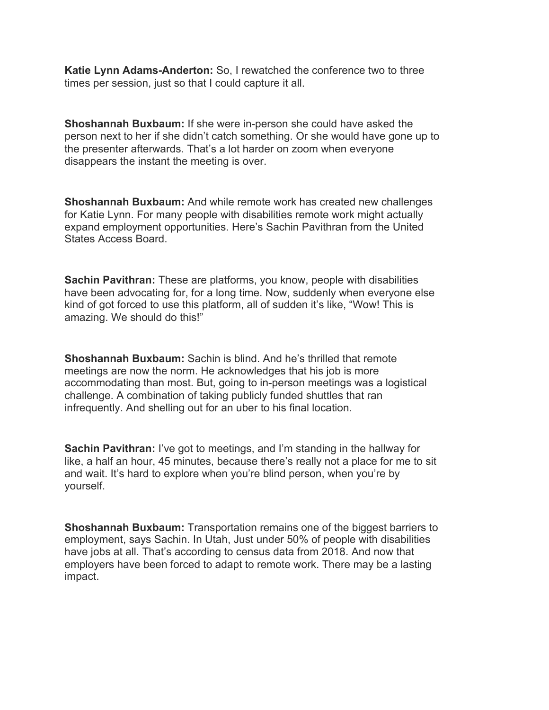**Katie Lynn Adams-Anderton:** So, I rewatched the conference two to three times per session, just so that I could capture it all.

**Shoshannah Buxbaum:** If she were in-person she could have asked the person next to her if she didn't catch something. Or she would have gone up to the presenter afterwards. That's a lot harder on zoom when everyone disappears the instant the meeting is over.

**Shoshannah Buxbaum:** And while remote work has created new challenges for Katie Lynn. For many people with disabilities remote work might actually expand employment opportunities. Here's Sachin Pavithran from the United States Access Board.

**Sachin Pavithran:** These are platforms, you know, people with disabilities have been advocating for, for a long time. Now, suddenly when everyone else kind of got forced to use this platform, all of sudden it's like, "Wow! This is amazing. We should do this!"

**Shoshannah Buxbaum:** Sachin is blind. And he's thrilled that remote meetings are now the norm. He acknowledges that his job is more accommodating than most. But, going to in-person meetings was a logistical challenge. A combination of taking publicly funded shuttles that ran infrequently. And shelling out for an uber to his final location.

**Sachin Pavithran:** I've got to meetings, and I'm standing in the hallway for like, a half an hour, 45 minutes, because there's really not a place for me to sit and wait. It's hard to explore when you're blind person, when you're by yourself.

**Shoshannah Buxbaum:** Transportation remains one of the biggest barriers to employment, says Sachin. In Utah, Just under 50% of people with disabilities have jobs at all. That's according to census data from 2018. And now that employers have been forced to adapt to remote work. There may be a lasting impact.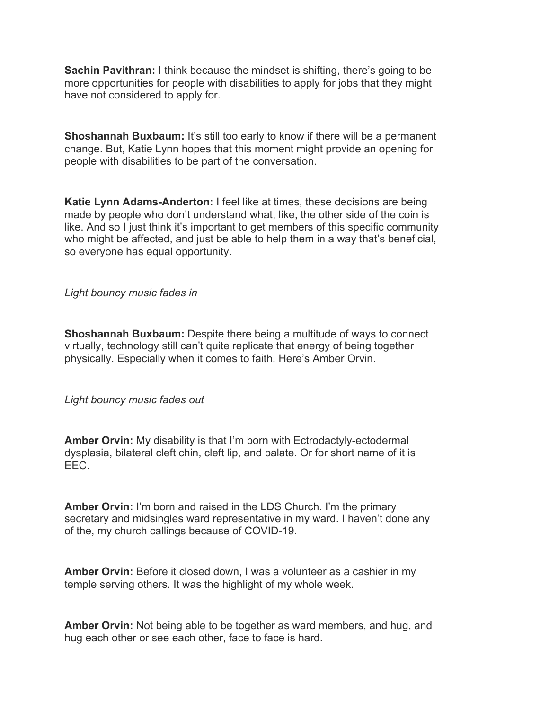**Sachin Pavithran:** I think because the mindset is shifting, there's going to be more opportunities for people with disabilities to apply for jobs that they might have not considered to apply for.

**Shoshannah Buxbaum:** It's still too early to know if there will be a permanent change. But, Katie Lynn hopes that this moment might provide an opening for people with disabilities to be part of the conversation.

**Katie Lynn Adams-Anderton:** I feel like at times, these decisions are being made by people who don't understand what, like, the other side of the coin is like. And so I just think it's important to get members of this specific community who might be affected, and just be able to help them in a way that's beneficial, so everyone has equal opportunity.

*Light bouncy music fades in*

**Shoshannah Buxbaum:** Despite there being a multitude of ways to connect virtually, technology still can't quite replicate that energy of being together physically. Especially when it comes to faith. Here's Amber Orvin.

*Light bouncy music fades out*

**Amber Orvin:** My disability is that I'm born with Ectrodactyly-ectodermal dysplasia, bilateral cleft chin, cleft lip, and palate. Or for short name of it is EEC.

**Amber Orvin:** I'm born and raised in the LDS Church. I'm the primary secretary and midsingles ward representative in my ward. I haven't done any of the, my church callings because of COVID-19.

**Amber Orvin:** Before it closed down, I was a volunteer as a cashier in my temple serving others. It was the highlight of my whole week.

**Amber Orvin:** Not being able to be together as ward members, and hug, and hug each other or see each other, face to face is hard.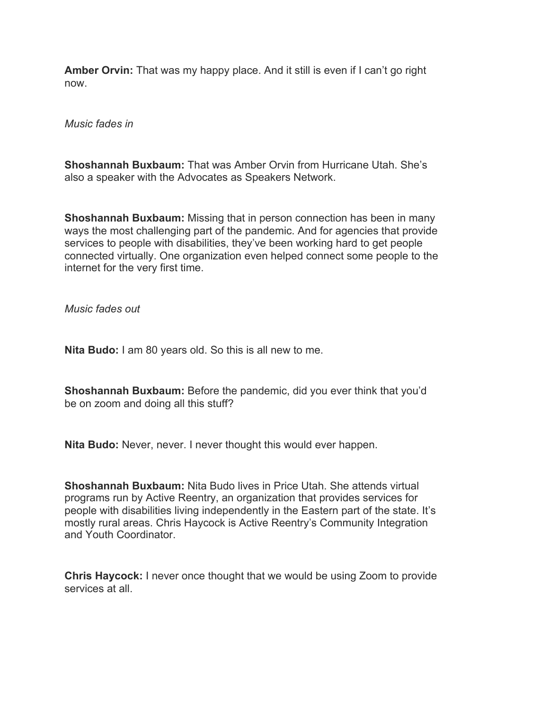**Amber Orvin:** That was my happy place. And it still is even if I can't go right now.

*Music fades in*

**Shoshannah Buxbaum:** That was Amber Orvin from Hurricane Utah. She's also a speaker with the Advocates as Speakers Network.

**Shoshannah Buxbaum:** Missing that in person connection has been in many ways the most challenging part of the pandemic. And for agencies that provide services to people with disabilities, they've been working hard to get people connected virtually. One organization even helped connect some people to the internet for the very first time.

*Music fades out*

**Nita Budo:** I am 80 years old. So this is all new to me.

**Shoshannah Buxbaum:** Before the pandemic, did you ever think that you'd be on zoom and doing all this stuff?

**Nita Budo:** Never, never. I never thought this would ever happen.

**Shoshannah Buxbaum:** Nita Budo lives in Price Utah. She attends virtual programs run by Active Reentry, an organization that provides services for people with disabilities living independently in the Eastern part of the state. It's mostly rural areas. Chris Haycock is Active Reentry's Community Integration and Youth Coordinator.

**Chris Haycock:** I never once thought that we would be using Zoom to provide services at all.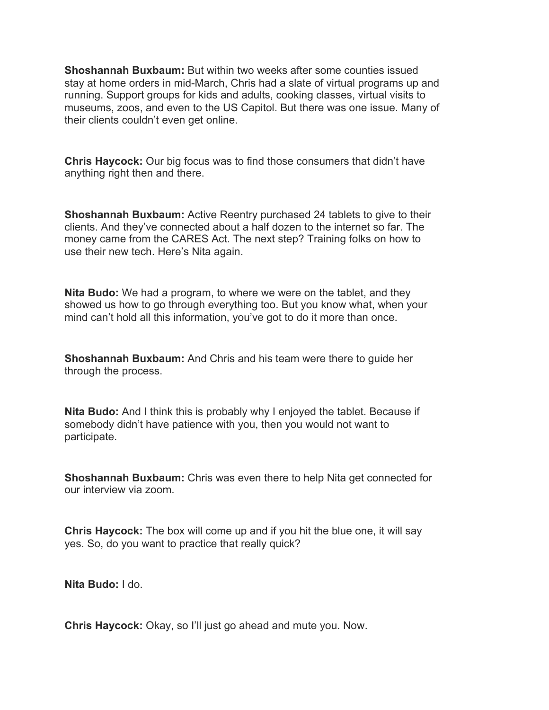**Shoshannah Buxbaum:** But within two weeks after some counties issued stay at home orders in mid-March, Chris had a slate of virtual programs up and running. Support groups for kids and adults, cooking classes, virtual visits to museums, zoos, and even to the US Capitol. But there was one issue. Many of their clients couldn't even get online.

**Chris Haycock:** Our big focus was to find those consumers that didn't have anything right then and there.

**Shoshannah Buxbaum:** Active Reentry purchased 24 tablets to give to their clients. And they've connected about a half dozen to the internet so far. The money came from the CARES Act. The next step? Training folks on how to use their new tech. Here's Nita again.

**Nita Budo:** We had a program, to where we were on the tablet, and they showed us how to go through everything too. But you know what, when your mind can't hold all this information, you've got to do it more than once.

**Shoshannah Buxbaum:** And Chris and his team were there to guide her through the process.

**Nita Budo:** And I think this is probably why I enjoyed the tablet. Because if somebody didn't have patience with you, then you would not want to participate.

**Shoshannah Buxbaum:** Chris was even there to help Nita get connected for our interview via zoom.

**Chris Haycock:** The box will come up and if you hit the blue one, it will say yes. So, do you want to practice that really quick?

**Nita Budo:** I do.

**Chris Haycock:** Okay, so I'll just go ahead and mute you. Now.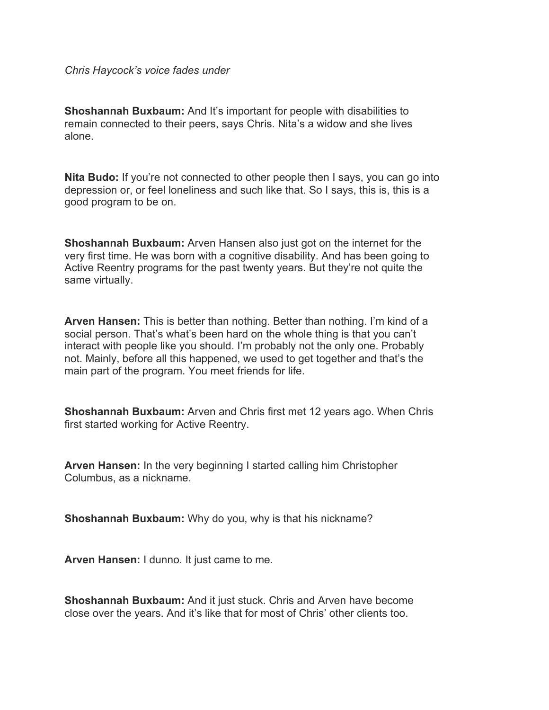*Chris Haycock's voice fades under*

**Shoshannah Buxbaum:** And It's important for people with disabilities to remain connected to their peers, says Chris. Nita's a widow and she lives alone.

**Nita Budo:** If you're not connected to other people then I says, you can go into depression or, or feel loneliness and such like that. So I says, this is, this is a good program to be on.

**Shoshannah Buxbaum:** Arven Hansen also just got on the internet for the very first time. He was born with a cognitive disability. And has been going to Active Reentry programs for the past twenty years. But they're not quite the same virtually.

**Arven Hansen:** This is better than nothing. Better than nothing. I'm kind of a social person. That's what's been hard on the whole thing is that you can't interact with people like you should. I'm probably not the only one. Probably not. Mainly, before all this happened, we used to get together and that's the main part of the program. You meet friends for life.

**Shoshannah Buxbaum:** Arven and Chris first met 12 years ago. When Chris first started working for Active Reentry.

**Arven Hansen:** In the very beginning I started calling him Christopher Columbus, as a nickname.

**Shoshannah Buxbaum:** Why do you, why is that his nickname?

**Arven Hansen:** I dunno. It just came to me.

**Shoshannah Buxbaum:** And it just stuck. Chris and Arven have become close over the years. And it's like that for most of Chris' other clients too.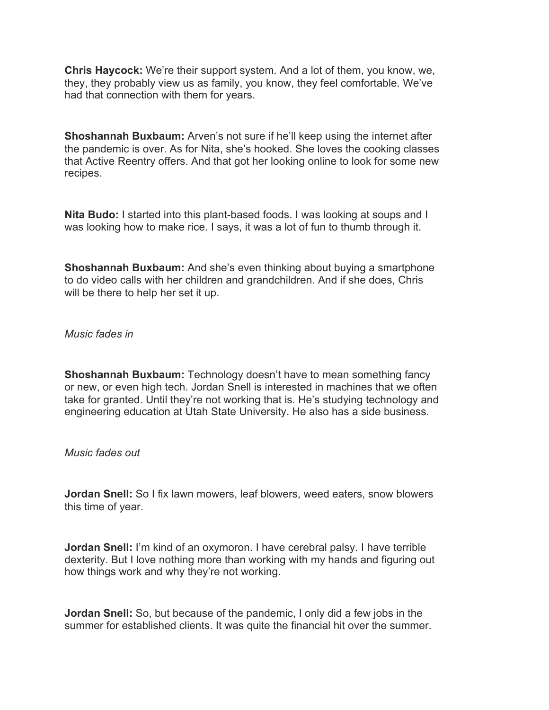**Chris Haycock:** We're their support system. And a lot of them, you know, we, they, they probably view us as family, you know, they feel comfortable. We've had that connection with them for years.

**Shoshannah Buxbaum:** Arven's not sure if he'll keep using the internet after the pandemic is over. As for Nita, she's hooked. She loves the cooking classes that Active Reentry offers. And that got her looking online to look for some new recipes.

**Nita Budo:** I started into this plant-based foods. I was looking at soups and I was looking how to make rice. I says, it was a lot of fun to thumb through it.

**Shoshannah Buxbaum:** And she's even thinking about buying a smartphone to do video calls with her children and grandchildren. And if she does, Chris will be there to help her set it up.

*Music fades in*

**Shoshannah Buxbaum:** Technology doesn't have to mean something fancy or new, or even high tech. Jordan Snell is interested in machines that we often take for granted. Until they're not working that is. He's studying technology and engineering education at Utah State University. He also has a side business.

*Music fades out*

**Jordan Snell:** So I fix lawn mowers, leaf blowers, weed eaters, snow blowers this time of year.

**Jordan Snell:** I'm kind of an oxymoron. I have cerebral palsy. I have terrible dexterity. But I love nothing more than working with my hands and figuring out how things work and why they're not working.

**Jordan Snell:** So, but because of the pandemic, I only did a few jobs in the summer for established clients. It was quite the financial hit over the summer.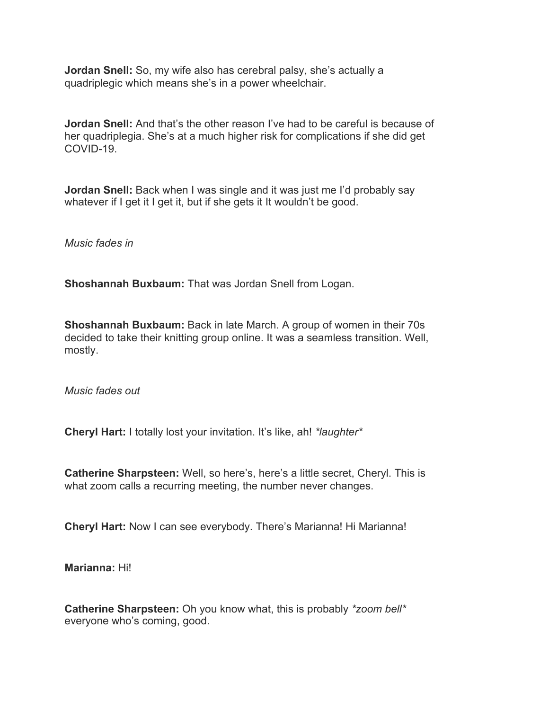**Jordan Snell:** So, my wife also has cerebral palsy, she's actually a quadriplegic which means she's in a power wheelchair.

**Jordan Snell:** And that's the other reason I've had to be careful is because of her quadriplegia. She's at a much higher risk for complications if she did get COVID-19.

**Jordan Snell:** Back when I was single and it was just me I'd probably say whatever if I get it I get it, but if she gets it It wouldn't be good.

*Music fades in*

**Shoshannah Buxbaum:** That was Jordan Snell from Logan.

**Shoshannah Buxbaum:** Back in late March. A group of women in their 70s decided to take their knitting group online. It was a seamless transition. Well, mostly.

*Music fades out*

**Cheryl Hart:** I totally lost your invitation. It's like, ah! *\*laughter\**

**Catherine Sharpsteen:** Well, so here's, here's a little secret, Cheryl. This is what zoom calls a recurring meeting, the number never changes.

**Cheryl Hart:** Now I can see everybody. There's Marianna! Hi Marianna!

**Marianna:** Hi!

**Catherine Sharpsteen:** Oh you know what, this is probably *\*zoom bell\** everyone who's coming, good.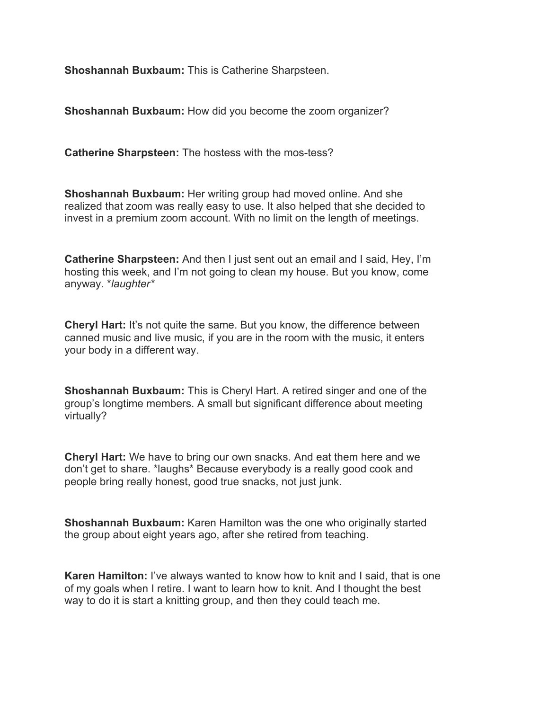**Shoshannah Buxbaum:** This is Catherine Sharpsteen.

**Shoshannah Buxbaum:** How did you become the zoom organizer?

**Catherine Sharpsteen:** The hostess with the mos-tess?

**Shoshannah Buxbaum:** Her writing group had moved online. And she realized that zoom was really easy to use. It also helped that she decided to invest in a premium zoom account. With no limit on the length of meetings.

**Catherine Sharpsteen:** And then I just sent out an email and I said, Hey, I'm hosting this week, and I'm not going to clean my house. But you know, come anyway. \**laughter\**

**Cheryl Hart:** It's not quite the same. But you know, the difference between canned music and live music, if you are in the room with the music, it enters your body in a different way.

**Shoshannah Buxbaum:** This is Cheryl Hart. A retired singer and one of the group's longtime members. A small but significant difference about meeting virtually?

**Cheryl Hart:** We have to bring our own snacks. And eat them here and we don't get to share. \*laughs\* Because everybody is a really good cook and people bring really honest, good true snacks, not just junk.

**Shoshannah Buxbaum:** Karen Hamilton was the one who originally started the group about eight years ago, after she retired from teaching.

**Karen Hamilton:** I've always wanted to know how to knit and I said, that is one of my goals when I retire. I want to learn how to knit. And I thought the best way to do it is start a knitting group, and then they could teach me.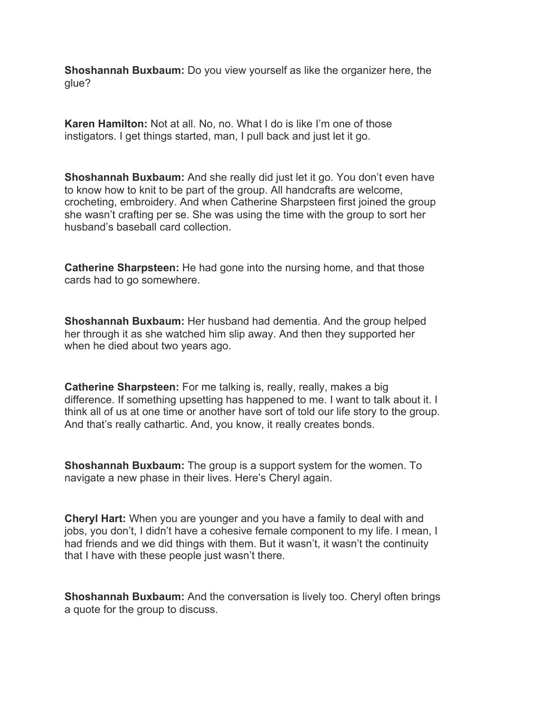**Shoshannah Buxbaum:** Do you view yourself as like the organizer here, the glue?

**Karen Hamilton:** Not at all. No, no. What I do is like I'm one of those instigators. I get things started, man, I pull back and just let it go.

**Shoshannah Buxbaum:** And she really did just let it go. You don't even have to know how to knit to be part of the group. All handcrafts are welcome, crocheting, embroidery. And when Catherine Sharpsteen first joined the group she wasn't crafting per se. She was using the time with the group to sort her husband's baseball card collection.

**Catherine Sharpsteen:** He had gone into the nursing home, and that those cards had to go somewhere.

**Shoshannah Buxbaum:** Her husband had dementia. And the group helped her through it as she watched him slip away. And then they supported her when he died about two years ago.

**Catherine Sharpsteen:** For me talking is, really, really, makes a big difference. If something upsetting has happened to me. I want to talk about it. I think all of us at one time or another have sort of told our life story to the group. And that's really cathartic. And, you know, it really creates bonds.

**Shoshannah Buxbaum:** The group is a support system for the women. To navigate a new phase in their lives. Here's Cheryl again.

**Cheryl Hart:** When you are younger and you have a family to deal with and jobs, you don't, I didn't have a cohesive female component to my life. I mean, I had friends and we did things with them. But it wasn't, it wasn't the continuity that I have with these people just wasn't there.

**Shoshannah Buxbaum:** And the conversation is lively too. Cheryl often brings a quote for the group to discuss.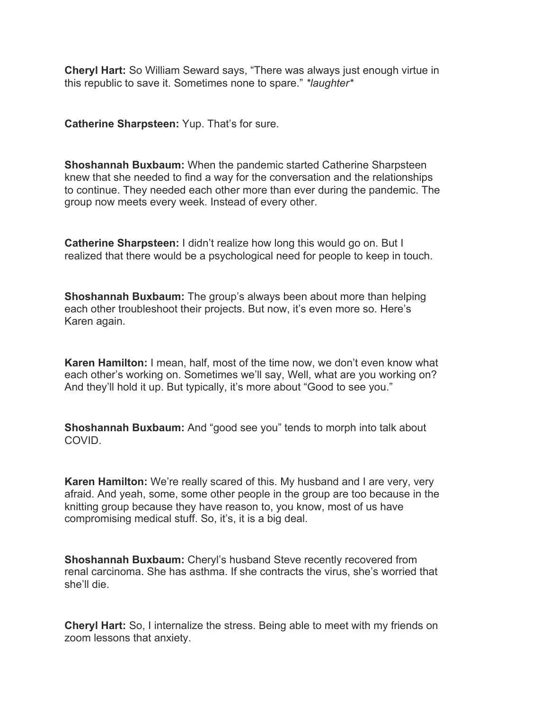**Cheryl Hart:** So William Seward says, "There was always just enough virtue in this republic to save it. Sometimes none to spare." *\*laughter\**

**Catherine Sharpsteen:** Yup. That's for sure.

**Shoshannah Buxbaum:** When the pandemic started Catherine Sharpsteen knew that she needed to find a way for the conversation and the relationships to continue. They needed each other more than ever during the pandemic. The group now meets every week. Instead of every other.

**Catherine Sharpsteen:** I didn't realize how long this would go on. But I realized that there would be a psychological need for people to keep in touch.

**Shoshannah Buxbaum:** The group's always been about more than helping each other troubleshoot their projects. But now, it's even more so. Here's Karen again.

**Karen Hamilton:** I mean, half, most of the time now, we don't even know what each other's working on. Sometimes we'll say, Well, what are you working on? And they'll hold it up. But typically, it's more about "Good to see you."

**Shoshannah Buxbaum:** And "good see you" tends to morph into talk about COVID.

**Karen Hamilton:** We're really scared of this. My husband and I are very, very afraid. And yeah, some, some other people in the group are too because in the knitting group because they have reason to, you know, most of us have compromising medical stuff. So, it's, it is a big deal.

**Shoshannah Buxbaum:** Cheryl's husband Steve recently recovered from renal carcinoma. She has asthma. If she contracts the virus, she's worried that she'll die.

**Cheryl Hart:** So, I internalize the stress. Being able to meet with my friends on zoom lessons that anxiety.